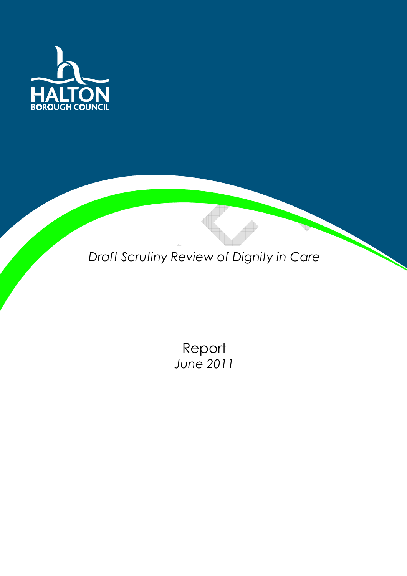

Draft Scrutiny Review of Dignity in Care

Report June 2011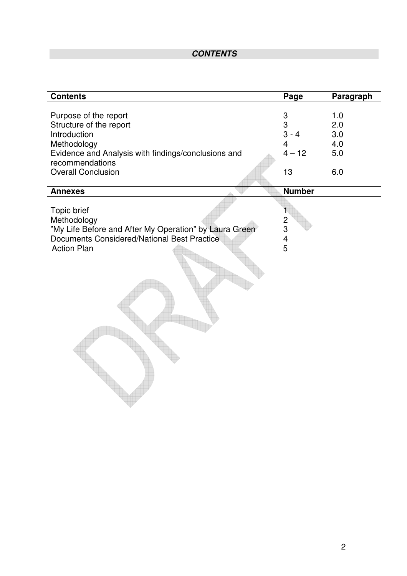# **CONTENTS**

| <b>Contents</b>                                                                                                                                                                        | Page                                                              | Paragraph                              |
|----------------------------------------------------------------------------------------------------------------------------------------------------------------------------------------|-------------------------------------------------------------------|----------------------------------------|
| Purpose of the report<br>Structure of the report<br>Introduction<br>Methodology<br>Evidence and Analysis with findings/conclusions and<br>recommendations<br><b>Overall Conclusion</b> | 3<br>3<br>$3 - 4$<br>4<br>$4 - 12$<br>13                          | 1.0<br>2.0<br>3.0<br>4.0<br>5.0<br>6.0 |
| <b>Annexes</b>                                                                                                                                                                         | <b>Number</b>                                                     |                                        |
| Topic brief<br>Methodology<br>"My Life Before and After My Operation" by Laura Green<br>Documents Considered/National Best Practice<br><b>Action Plan</b>                              | 1<br>$\overline{\mathbf{c}}$<br>3<br>$\overline{\mathbf{4}}$<br>5 |                                        |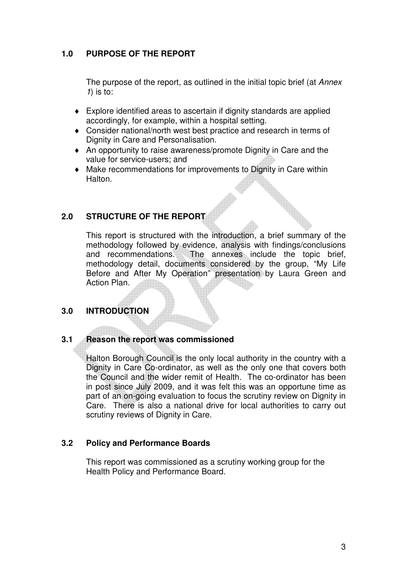#### **1.0 PURPOSE OF THE REPORT**

The purpose of the report, as outlined in the initial topic brief (at Annex  $1)$  is to:

- ♦ Explore identified areas to ascertain if dignity standards are applied accordingly, for example, within a hospital setting.
- ♦ Consider national/north west best practice and research in terms of Dignity in Care and Personalisation.
- ♦ An opportunity to raise awareness/promote Dignity in Care and the value for service-users; and
- ♦ Make recommendations for improvements to Dignity in Care within **Halton**

# **2.0 STRUCTURE OF THE REPORT**

This report is structured with the introduction, a brief summary of the methodology followed by evidence, analysis with findings/conclusions and recommendations. The annexes include the topic brief, methodology detail, documents considered by the group, "My Life Before and After My Operation" presentation by Laura Green and Action Plan.

# **3.0 INTRODUCTION**

#### **3.1 Reason the report was commissioned**

Halton Borough Council is the only local authority in the country with a Dignity in Care Co-ordinator, as well as the only one that covers both the Council and the wider remit of Health. The co-ordinator has been in post since July 2009, and it was felt this was an opportune time as part of an on-going evaluation to focus the scrutiny review on Dignity in Care. There is also a national drive for local authorities to carry out scrutiny reviews of Dignity in Care.

#### **3.2 Policy and Performance Boards**

This report was commissioned as a scrutiny working group for the Health Policy and Performance Board.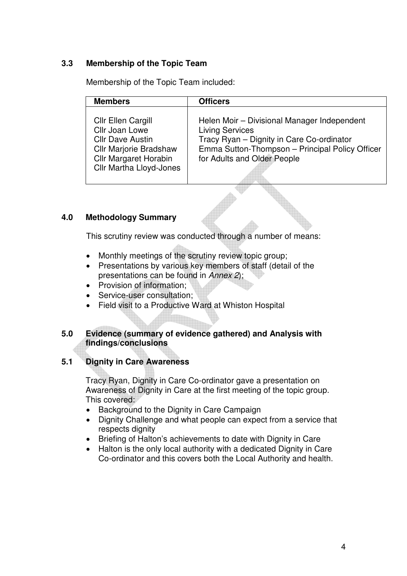#### **3.3 Membership of the Topic Team**

Membership of the Topic Team included:

| <b>Officers</b>                                                                                                                                                                                      |
|------------------------------------------------------------------------------------------------------------------------------------------------------------------------------------------------------|
| Helen Moir - Divisional Manager Independent<br><b>Living Services</b><br>Tracy Ryan - Dignity in Care Co-ordinator<br>Emma Sutton-Thompson - Principal Policy Officer<br>for Adults and Older People |
|                                                                                                                                                                                                      |

#### **4.0 Methodology Summary**

This scrutiny review was conducted through a number of means:

- Monthly meetings of the scrutiny review topic group;
- Presentations by various key members of staff (detail of the presentations can be found in Annex 2);
- Provision of information;
- Service-user consultation:
- Field visit to a Productive Ward at Whiston Hospital

#### **5.0 Evidence (summary of evidence gathered) and Analysis with findings/conclusions**

#### **5.1 Dignity in Care Awareness**

Tracy Ryan, Dignity in Care Co-ordinator gave a presentation on Awareness of Dignity in Care at the first meeting of the topic group. This covered:

- Background to the Dignity in Care Campaign
- Dignity Challenge and what people can expect from a service that respects dignity
- Briefing of Halton's achievements to date with Dignity in Care
- Halton is the only local authority with a dedicated Dignity in Care Co-ordinator and this covers both the Local Authority and health.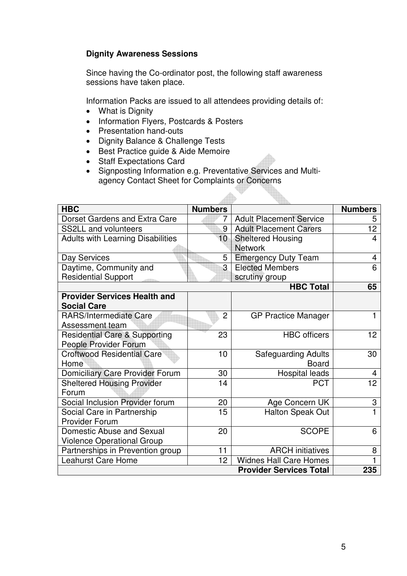#### **Dignity Awareness Sessions**

Since having the Co-ordinator post, the following staff awareness sessions have taken place.

Information Packs are issued to all attendees providing details of:

- What is Dignity
- Information Flyers, Postcards & Posters
- Presentation hand-outs
- Dignity Balance & Challenge Tests
- Best Practice guide & Aide Memoire
- Staff Expectations Card
- Signposting Information e.g. Preventative Services and Multiagency Contact Sheet for Complaints or Concerns

 $\triangle$ 

| <b>HBC</b>                               | <b>Numbers</b>  |                                | <b>Numbers</b>  |
|------------------------------------------|-----------------|--------------------------------|-----------------|
| Dorset Gardens and Extra Care            | 7               | <b>Adult Placement Service</b> | 5               |
| <b>SS2LL and volunteers</b>              | 9               | <b>Adult Placement Carers</b>  | 12              |
| <b>Adults with Learning Disabilities</b> | 10 <sup>1</sup> | <b>Sheltered Housing</b>       | 4               |
| <b>Network</b>                           |                 |                                |                 |
| Day Services                             | 5               | <b>Emergency Duty Team</b>     | 4               |
| Daytime, Community and                   | 3               | <b>Elected Members</b>         | 6               |
| <b>Residential Support</b>               |                 | scrutiny group                 |                 |
|                                          |                 | <b>HBC Total</b>               | 65              |
| <b>Provider Services Health and</b>      |                 |                                |                 |
| <b>Social Care</b>                       |                 |                                |                 |
| <b>RARS/Intermediate Care</b>            | $\overline{2}$  | <b>GP Practice Manager</b>     |                 |
| Assessment team                          |                 |                                |                 |
| <b>Residential Care &amp; Supporting</b> | 23              | <b>HBC</b> officers            | 12 <sup>2</sup> |
| People Provider Forum                    |                 |                                |                 |
| <b>Croftwood Residential Care</b>        | 10              | <b>Safeguarding Adults</b>     | 30              |
| Home                                     |                 | <b>Board</b>                   |                 |
| <b>Domiciliary Care Provider Forum</b>   | 30              | Hospital leads                 | 4               |
| <b>Sheltered Housing Provider</b>        | 14              | <b>PCT</b>                     | 12 <sub>2</sub> |
| Forum                                    |                 |                                |                 |
| Social Inclusion Provider forum          | 20              | Age Concern UK                 | 3               |
| Social Care in Partnership               | 15              | <b>Halton Speak Out</b>        | 1               |
| <b>Provider Forum</b>                    |                 |                                |                 |
| Domestic Abuse and Sexual                | 20              | <b>SCOPE</b>                   | 6               |
| <b>Violence Operational Group</b>        |                 |                                |                 |
| Partnerships in Prevention group         | 11              | <b>ARCH</b> initiatives        | 8               |
| <b>Leahurst Care Home</b>                | 12              | <b>Widnes Hall Care Homes</b>  |                 |
|                                          |                 | <b>Provider Services Total</b> | 235             |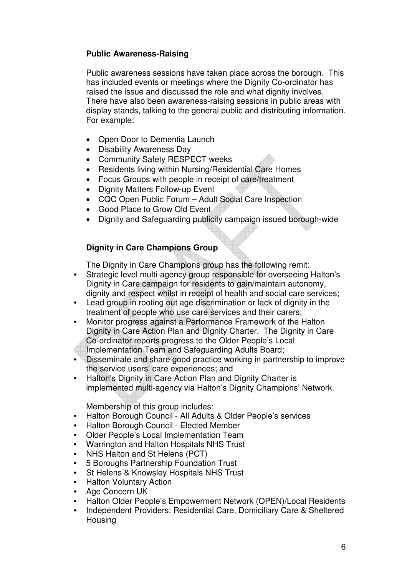#### **Public Awareness-Raising**

Public awareness sessions have taken place across the borough. This has included events or meetings where the Dignity Co-ordinator has raised the issue and discussed the role and what dignity involves. There have also been awareness-raising sessions in public areas with display stands, talking to the general public and distributing information. For example:

- Open Door to Dementia Launch
- Disability Awareness Day
- Community Safety RESPECT weeks
- Residents living within Nursing/Residential Care Homes
- Focus Groups with people in receipt of care/treatment
- Dignity Matters Follow-up Event
- CQC Open Public Forum Adult Social Care Inspection
- Good Place to Grow Old Event
- Dignity and Safeguarding publicity campaign issued borough-wide

#### **Dignity in Care Champions Group**

The Dignity in Care Champions group has the following remit:

- Strategic level multi-agency group responsible for overseeing Halton's Dignity in Care campaign for residents to gain/maintain autonomy, dignity and respect whilst in receipt of health and social care services;
- Lead group in rooting out age discrimination or lack of dignity in the treatment of people who use care services and their carers;
- Monitor progress against a Performance Framework of the Halton Dignity in Care Action Plan and Dignity Charter. The Dignity in Care Co-ordinator reports progress to the Older People's Local
- Implementation Team and Safeguarding Adults Board;
- Disseminate and share good practice working in partnership to improve the service users' care experiences; and
- Halton's Dignity in Care Action Plan and Dignity Charter is implemented multi-agency via Halton's Dignity Champions' Network.

Membership of this group includes:

- Halton Borough Council All Adults & Older People's services
- Halton Borough Council Elected Member
- Older People's Local Implementation Team
- Warrington and Halton Hospitals NHS Trust
- NHS Halton and St Helens (PCT)
- 5 Boroughs Partnership Foundation Trust
- St Helens & Knowsley Hospitals NHS Trust
- **Halton Voluntary Action**
- Age Concern UK
- Halton Older People's Empowerment Network (OPEN)/Local Residents
- Independent Providers: Residential Care, Domiciliary Care & Sheltered Housing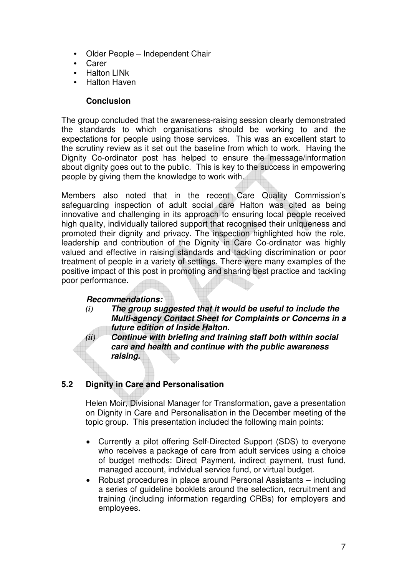- Older People Independent Chair
- **Carer**
- Halton LINk
- Halton Haven

#### **Conclusion**

The group concluded that the awareness-raising session clearly demonstrated the standards to which organisations should be working to and the expectations for people using those services. This was an excellent start to the scrutiny review as it set out the baseline from which to work. Having the Dignity Co-ordinator post has helped to ensure the message/information about dignity goes out to the public. This is key to the success in empowering people by giving them the knowledge to work with.

Members also noted that in the recent Care Quality Commission's safeguarding inspection of adult social care Halton was cited as being innovative and challenging in its approach to ensuring local people received high quality, individually tailored support that recognised their uniqueness and promoted their dignity and privacy. The inspection highlighted how the role, leadership and contribution of the Dignity in Care Co-ordinator was highly valued and effective in raising standards and tackling discrimination or poor treatment of people in a variety of settings. There were many examples of the positive impact of this post in promoting and sharing best practice and tackling poor performance.

#### **Recommendations:**

*(i)* **The group suggested that it would be useful to include the Multi-agency Contact Sheet for Complaints or Concerns in a future edition of Inside Halton.**

*(ii)* **Continue with briefing and training staff both within social care and health and continue with the public awareness raising.** 

# **5.2 Dignity in Care and Personalisation**

Helen Moir, Divisional Manager for Transformation, gave a presentation on Dignity in Care and Personalisation in the December meeting of the topic group. This presentation included the following main points:

- Currently a pilot offering Self-Directed Support (SDS) to everyone who receives a package of care from adult services using a choice of budget methods: Direct Payment, indirect payment, trust fund, managed account, individual service fund, or virtual budget.
- Robust procedures in place around Personal Assistants including a series of guideline booklets around the selection, recruitment and training (including information regarding CRBs) for employers and employees.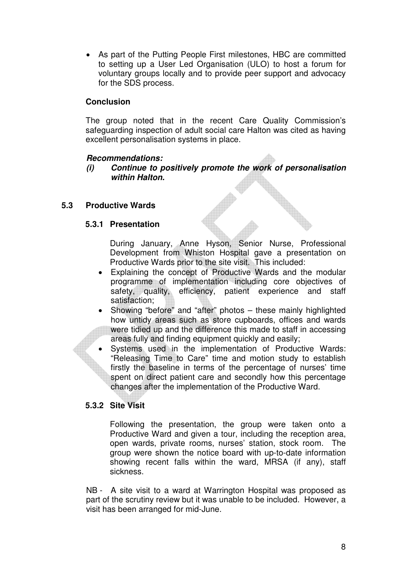• As part of the Putting People First milestones, HBC are committed to setting up a User Led Organisation (ULO) to host a forum for voluntary groups locally and to provide peer support and advocacy for the SDS process.

#### **Conclusion**

The group noted that in the recent Care Quality Commission's safeguarding inspection of adult social care Halton was cited as having excellent personalisation systems in place.

#### **Recommendations:**

**(i) Continue to positively promote the work of personalisation within Halton.** 

#### **5.3 Productive Wards**

#### **5.3.1 Presentation**

During January, Anne Hyson, Senior Nurse, Professional Development from Whiston Hospital gave a presentation on Productive Wards prior to the site visit. This included:

- Explaining the concept of Productive Wards and the modular programme of implementation including core objectives of safety, quality, efficiency, patient experience and staff satisfaction;
- Showing "before" and "after" photos these mainly highlighted how untidy areas such as store cupboards, offices and wards were tidied up and the difference this made to staff in accessing areas fully and finding equipment quickly and easily;
- Systems used in the implementation of Productive Wards: "Releasing Time to Care" time and motion study to establish firstly the baseline in terms of the percentage of nurses' time spent on direct patient care and secondly how this percentage changes after the implementation of the Productive Ward.

# **5.3.2 Site Visit**

Following the presentation, the group were taken onto a Productive Ward and given a tour, including the reception area, open wards, private rooms, nurses' station, stock room. The group were shown the notice board with up-to-date information showing recent falls within the ward, MRSA (if any), staff sickness.

NB - A site visit to a ward at Warrington Hospital was proposed as part of the scrutiny review but it was unable to be included. However, a visit has been arranged for mid-June.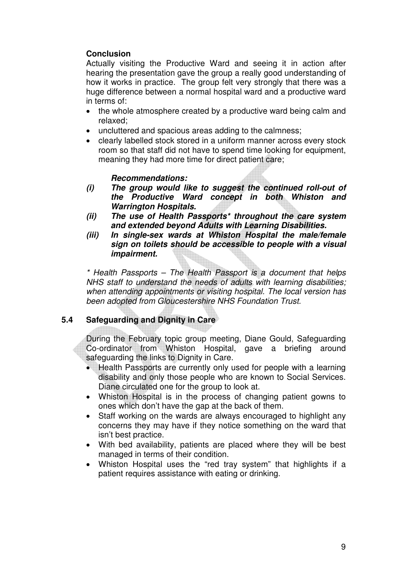#### **Conclusion**

Actually visiting the Productive Ward and seeing it in action after hearing the presentation gave the group a really good understanding of how it works in practice. The group felt very strongly that there was a huge difference between a normal hospital ward and a productive ward in terms of:

- the whole atmosphere created by a productive ward being calm and relaxed;
- uncluttered and spacious areas adding to the calmness;
- clearly labelled stock stored in a uniform manner across every stock room so that staff did not have to spend time looking for equipment, meaning they had more time for direct patient care;

#### **Recommendations:**

- **(i) The group would like to suggest the continued roll-out of the Productive Ward concept in both Whiston and Warrington Hospitals.**
- **(ii) The use of Health Passports\* throughout the care system and extended beyond Adults with Learning Disabilities.**
- **(iii) In single-sex wards at Whiston Hospital the male/female sign on toilets should be accessible to people with a visual impairment.**

\* Health Passports – The Health Passport is a document that helps NHS staff to understand the needs of adults with learning disabilities; when attending appointments or visiting hospital. The local version has been adopted from Gloucestershire NHS Foundation Trust.

#### **5.4 Safeguarding and Dignity in Care**

 During the February topic group meeting, Diane Gould, Safeguarding Co-ordinator from Whiston Hospital, gave a briefing around safeguarding the links to Dignity in Care.

- Health Passports are currently only used for people with a learning disability and only those people who are known to Social Services. Diane circulated one for the group to look at.
- Whiston Hospital is in the process of changing patient gowns to ones which don't have the gap at the back of them.
- Staff working on the wards are always encouraged to highlight any concerns they may have if they notice something on the ward that isn't best practice.
- With bed availability, patients are placed where they will be best managed in terms of their condition.
- Whiston Hospital uses the "red tray system" that highlights if a patient requires assistance with eating or drinking.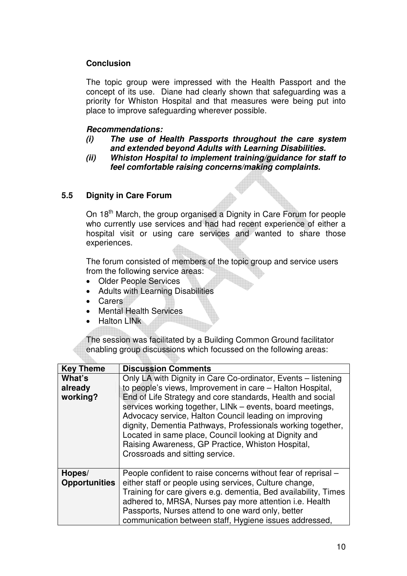#### **Conclusion**

The topic group were impressed with the Health Passport and the concept of its use. Diane had clearly shown that safeguarding was a priority for Whiston Hospital and that measures were being put into place to improve safeguarding wherever possible.

#### **Recommendations:**

- **(i) The use of Health Passports throughout the care system and extended beyond Adults with Learning Disabilities.**
- **(ii) Whiston Hospital to implement training/guidance for staff to feel comfortable raising concerns/making complaints.**

#### **5.5 Dignity in Care Forum**

On 18<sup>th</sup> March, the group organised a Dignity in Care Forum for people who currently use services and had had recent experience of either a hospital visit or using care services and wanted to share those experiences.

 The forum consisted of members of the topic group and service users from the following service areas:

- Older People Services
- Adults with Learning Disabilities
- Carers
- Mental Health Services
- Halton LINk

The session was facilitated by a Building Common Ground facilitator enabling group discussions which focussed on the following areas:

| <b>Key Theme</b>               | <b>Discussion Comments</b>                                                                                                                                                                                                                                                                                                                                                                                                                                                                                                     |
|--------------------------------|--------------------------------------------------------------------------------------------------------------------------------------------------------------------------------------------------------------------------------------------------------------------------------------------------------------------------------------------------------------------------------------------------------------------------------------------------------------------------------------------------------------------------------|
| What's<br>already<br>working?  | Only LA with Dignity in Care Co-ordinator, Events – listening<br>to people's views, Improvement in care – Halton Hospital,<br>End of Life Strategy and core standards, Health and social<br>services working together, LINk - events, board meetings,<br>Advocacy service, Halton Council leading on improving<br>dignity, Dementia Pathways, Professionals working together,<br>Located in same place, Council looking at Dignity and<br>Raising Awareness, GP Practice, Whiston Hospital,<br>Crossroads and sitting service. |
| Hopes/<br><b>Opportunities</b> | People confident to raise concerns without fear of reprisal –<br>either staff or people using services, Culture change,<br>Training for care givers e.g. dementia, Bed availability, Times<br>adhered to, MRSA, Nurses pay more attention i.e. Health<br>Passports, Nurses attend to one ward only, better<br>communication between staff, Hygiene issues addressed,                                                                                                                                                           |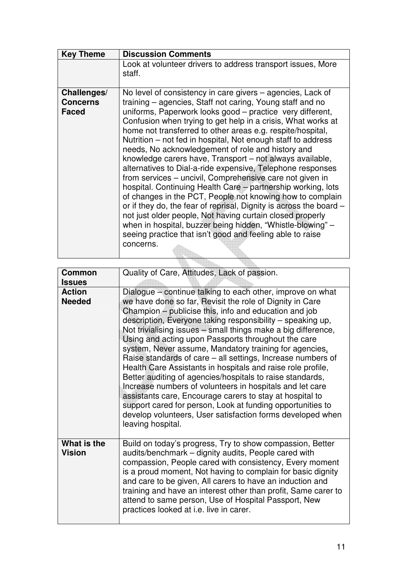| <b>Key Theme</b>                               | <b>Discussion Comments</b>                                                                                                                                                                                                                                                                                                                                                                                                                                                                                                                                                                                                                                                                                                                                                                                                                                                                                                                                                                                                            |
|------------------------------------------------|---------------------------------------------------------------------------------------------------------------------------------------------------------------------------------------------------------------------------------------------------------------------------------------------------------------------------------------------------------------------------------------------------------------------------------------------------------------------------------------------------------------------------------------------------------------------------------------------------------------------------------------------------------------------------------------------------------------------------------------------------------------------------------------------------------------------------------------------------------------------------------------------------------------------------------------------------------------------------------------------------------------------------------------|
|                                                | Look at volunteer drivers to address transport issues, More<br>staff.                                                                                                                                                                                                                                                                                                                                                                                                                                                                                                                                                                                                                                                                                                                                                                                                                                                                                                                                                                 |
| Challenges/<br><b>Concerns</b><br><b>Faced</b> | No level of consistency in care givers – agencies, Lack of<br>training – agencies, Staff not caring, Young staff and no<br>uniforms, Paperwork looks good - practice very different,<br>Confusion when trying to get help in a crisis, What works at<br>home not transferred to other areas e.g. respite/hospital,<br>Nutrition – not fed in hospital, Not enough staff to address<br>needs, No acknowledgement of role and history and<br>knowledge carers have, Transport - not always available,<br>alternatives to Dial-a-ride expensive, Telephone responses<br>from services - uncivil, Comprehensive care not given in<br>hospital. Continuing Health Care - partnership working, lots<br>of changes in the PCT, People not knowing how to complain<br>or if they do, the fear of reprisal, Dignity is across the board -<br>not just older people, Not having curtain closed properly<br>when in hospital, buzzer being hidden, "Whistle-blowing" -<br>seeing practice that isn't good and feeling able to raise<br>concerns. |

| <b>Common</b><br><b>Issues</b> | Quality of Care, Attitudes, Lack of passion.                                                                                                                                                                                                                                                                                                                                                                                                                                                                                                                                                                                                                                                                                                                                                                                                                                                        |
|--------------------------------|-----------------------------------------------------------------------------------------------------------------------------------------------------------------------------------------------------------------------------------------------------------------------------------------------------------------------------------------------------------------------------------------------------------------------------------------------------------------------------------------------------------------------------------------------------------------------------------------------------------------------------------------------------------------------------------------------------------------------------------------------------------------------------------------------------------------------------------------------------------------------------------------------------|
| <b>Action</b><br><b>Needed</b> | Dialogue – continue talking to each other, improve on what<br>we have done so far, Revisit the role of Dignity in Care<br>Champion - publicise this, info and education and job<br>description, Everyone taking responsibility – speaking up,<br>Not trivialising issues - small things make a big difference,<br>Using and acting upon Passports throughout the care<br>system, Never assume, Mandatory training for agencies,<br>Raise standards of care – all settings, Increase numbers of<br>Health Care Assistants in hospitals and raise role profile,<br>Better auditing of agencies/hospitals to raise standards,<br>Increase numbers of volunteers in hospitals and let care<br>assistants care, Encourage carers to stay at hospital to<br>support cared for person, Look at funding opportunities to<br>develop volunteers, User satisfaction forms developed when<br>leaving hospital. |
| What is the<br><b>Vision</b>   | Build on today's progress, Try to show compassion, Better<br>audits/benchmark - dignity audits, People cared with<br>compassion, People cared with consistency, Every moment<br>is a proud moment, Not having to complain for basic dignity<br>and care to be given, All carers to have an induction and<br>training and have an interest other than profit, Same carer to<br>attend to same person, Use of Hospital Passport, New<br>practices looked at i.e. live in carer.                                                                                                                                                                                                                                                                                                                                                                                                                       |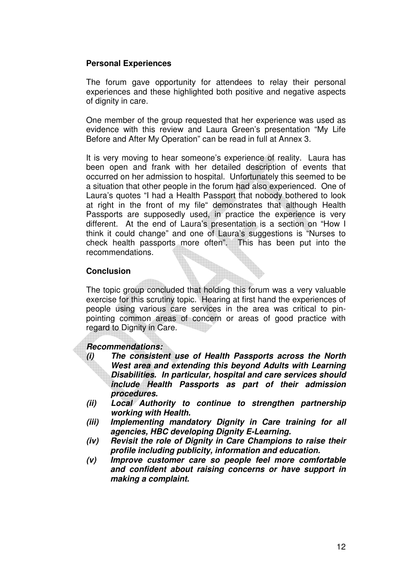#### **Personal Experiences**

 The forum gave opportunity for attendees to relay their personal experiences and these highlighted both positive and negative aspects of dignity in care.

One member of the group requested that her experience was used as evidence with this review and Laura Green's presentation "My Life Before and After My Operation" can be read in full at Annex 3.

It is very moving to hear someone's experience of reality. Laura has been open and frank with her detailed description of events that occurred on her admission to hospital. Unfortunately this seemed to be a situation that other people in the forum had also experienced. One of Laura's quotes "I had a Health Passport that nobody bothered to look at right in the front of my file" demonstrates that although Health Passports are supposedly used, in practice the experience is very different. At the end of Laura's presentation is a section on "How I think it could change" and one of Laura's suggestions is "Nurses to check health passports more often". This has been put into the recommendations.

#### **Conclusion**

The topic group concluded that holding this forum was a very valuable exercise for this scrutiny topic. Hearing at first hand the experiences of people using various care services in the area was critical to pinpointing common areas of concern or areas of good practice with regard to Dignity in Care.

#### **Recommendations:**

- **(i) The consistent use of Health Passports across the North West area and extending this beyond Adults with Learning Disabilities. In particular, hospital and care services should include Health Passports as part of their admission procedures.**
- **(ii) Local Authority to continue to strengthen partnership working with Health.**
- **(iii) Implementing mandatory Dignity in Care training for all agencies, HBC developing Dignity E-Learning.**
- **(iv) Revisit the role of Dignity in Care Champions to raise their profile including publicity, information and education.**
- **(v) Improve customer care so people feel more comfortable and confident about raising concerns or have support in making a complaint.**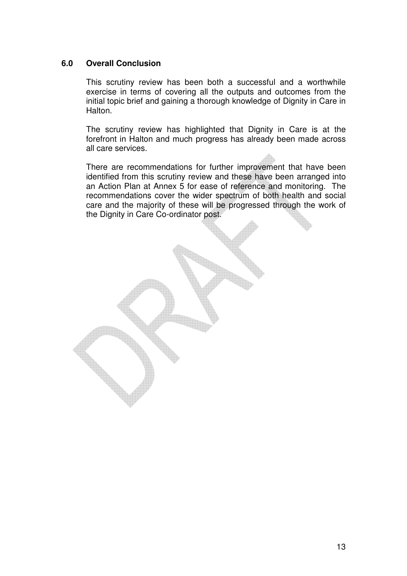#### **6.0 Overall Conclusion**

 This scrutiny review has been both a successful and a worthwhile exercise in terms of covering all the outputs and outcomes from the initial topic brief and gaining a thorough knowledge of Dignity in Care in Halton.

 The scrutiny review has highlighted that Dignity in Care is at the forefront in Halton and much progress has already been made across all care services.

 There are recommendations for further improvement that have been identified from this scrutiny review and these have been arranged into an Action Plan at Annex 5 for ease of reference and monitoring. The recommendations cover the wider spectrum of both health and social care and the majority of these will be progressed through the work of the Dignity in Care Co-ordinator post.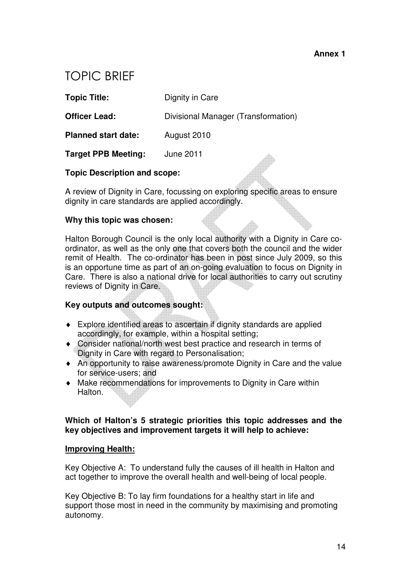# TOPIC BRIEF

**Topic Title:** Dignity in Care

**Officer Lead: Divisional Manager (Transformation)** 

**Planned start date:** August 2010

**Target PPB Meeting:** June 2011

#### **Topic Description and scope:**

A review of Dignity in Care, focussing on exploring specific areas to ensure dignity in care standards are applied accordingly.

#### **Why this topic was chosen:**

Halton Borough Council is the only local authority with a Dignity in Care coordinator, as well as the only one that covers both the council and the wider remit of Health. The co-ordinator has been in post since July 2009, so this is an opportune time as part of an on-going evaluation to focus on Dignity in Care. There is also a national drive for local authorities to carry out scrutiny reviews of Dignity in Care.

#### **Key outputs and outcomes sought:**

- ♦ Explore identified areas to ascertain if dignity standards are applied accordingly, for example, within a hospital setting;
- ♦ Consider national/north west best practice and research in terms of Dignity in Care with regard to Personalisation;
- ♦ An opportunity to raise awareness/promote Dignity in Care and the value for service-users; and
- ♦ Make recommendations for improvements to Dignity in Care within **Halton**

#### **Which of Halton's 5 strategic priorities this topic addresses and the key objectives and improvement targets it will help to achieve:**

#### **Improving Health:**

Key Objective A: To understand fully the causes of ill health in Halton and act together to improve the overall health and well-being of local people.

Key Objective B: To lay firm foundations for a healthy start in life and support those most in need in the community by maximising and promoting autonomy.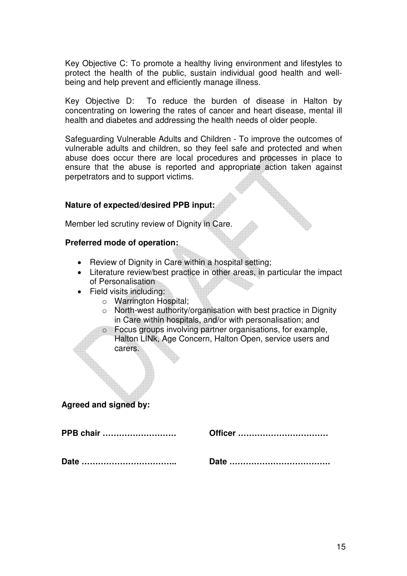Key Objective C: To promote a healthy living environment and lifestyles to protect the health of the public, sustain individual good health and wellbeing and help prevent and efficiently manage illness.

Key Objective D: To reduce the burden of disease in Halton by concentrating on lowering the rates of cancer and heart disease, mental ill health and diabetes and addressing the health needs of older people.

Safeguarding Vulnerable Adults and Children - To improve the outcomes of vulnerable adults and children, so they feel safe and protected and when abuse does occur there are local procedures and processes in place to ensure that the abuse is reported and appropriate action taken against perpetrators and to support victims.

#### **Nature of expected/desired PPB input:**

Member led scrutiny review of Dignity in Care.

#### **Preferred mode of operation:**

- Review of Dignity in Care within a hospital setting;
- Literature review/best practice in other areas, in particular the impact of Personalisation
- Field visits including:
	- o Warrington Hospital;
	- o North-west authority/organisation with best practice in Dignity in Care within hospitals, and/or with personalisation; and
	- o Focus groups involving partner organisations, for example, Halton LINk, Age Concern, Halton Open, service users and carers.

#### **Agreed and signed by:**

| <b>PPB chair </b> | Officer |
|-------------------|---------|
|                   |         |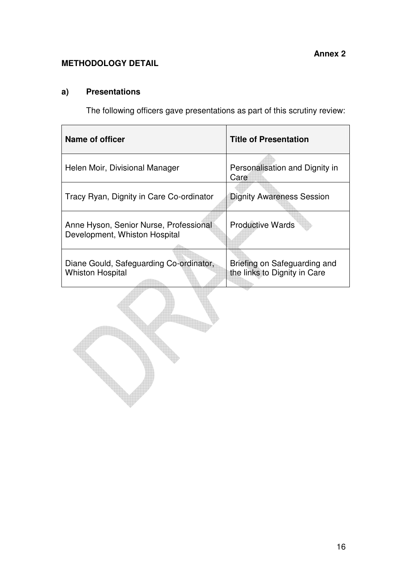#### **METHODOLOGY DETAIL**

# **a) Presentations**

The following officers gave presentations as part of this scrutiny review:

| Name of officer                                                         | <b>Title of Presentation</b>                                 |
|-------------------------------------------------------------------------|--------------------------------------------------------------|
| Helen Moir, Divisional Manager                                          | Personalisation and Dignity in<br>Care                       |
| Tracy Ryan, Dignity in Care Co-ordinator                                | <b>Dignity Awareness Session</b>                             |
| Anne Hyson, Senior Nurse, Professional<br>Development, Whiston Hospital | <b>Productive Wards</b>                                      |
| Diane Gould, Safeguarding Co-ordinator,<br><b>Whiston Hospital</b>      | Briefing on Safeguarding and<br>the links to Dignity in Care |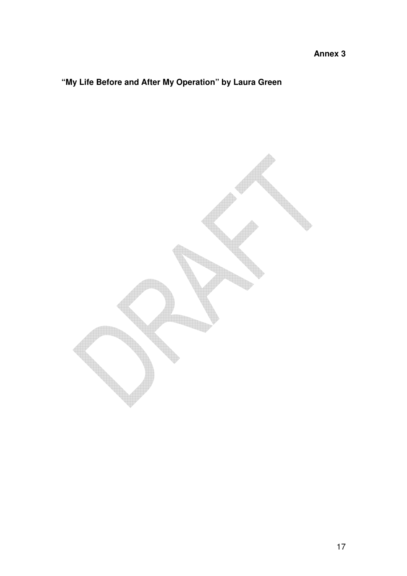# **"My Life Before and After My Operation" by Laura Green**

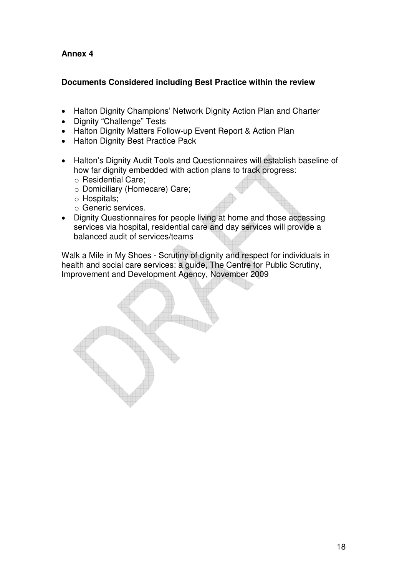#### **Documents Considered including Best Practice within the review**

- Halton Dignity Champions' Network Dignity Action Plan and Charter
- Dignity "Challenge" Tests
- Halton Dignity Matters Follow-up Event Report & Action Plan
- Halton Dignity Best Practice Pack
- Halton's Dignity Audit Tools and Questionnaires will establish baseline of how far dignity embedded with action plans to track progress:
	- o Residential Care;
	- o Domiciliary (Homecare) Care;
	- o Hospitals;
	- o Generic services.
- Dignity Questionnaires for people living at home and those accessing services via hospital, residential care and day services will provide a balanced audit of services/teams

Walk a Mile in My Shoes - Scrutiny of dignity and respect for individuals in health and social care services: a guide, The Centre for Public Scrutiny, Improvement and Development Agency, November 2009

18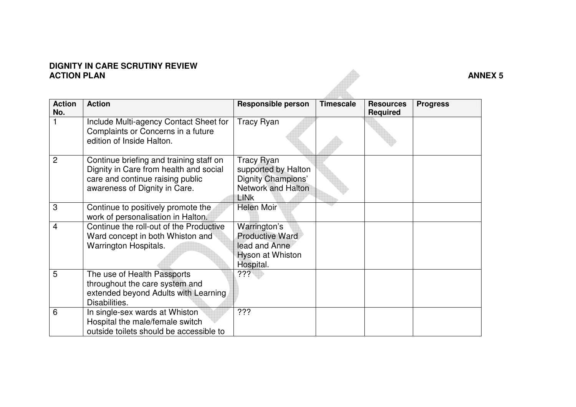# **DIGNITY IN CARE SCRUTINY REVIEW ACTION PLAN ANNEX 5**

| <b>Action</b><br>No. | <b>Action</b>                                                                                                                                          | <b>Responsible person</b>                                                                    | <b>Timescale</b> | <b>Resources</b><br><b>Required</b> | <b>Progress</b> |
|----------------------|--------------------------------------------------------------------------------------------------------------------------------------------------------|----------------------------------------------------------------------------------------------|------------------|-------------------------------------|-----------------|
|                      | Include Multi-agency Contact Sheet for<br>Complaints or Concerns in a future<br>edition of Inside Halton.                                              | <b>Tracy Ryan</b>                                                                            |                  |                                     |                 |
| 2                    | Continue briefing and training staff on<br>Dignity in Care from health and social<br>care and continue raising public<br>awareness of Dignity in Care. | Tracy Ryan<br>supported by Halton<br>Dignity Champions'<br><b>Network and Halton</b><br>LINk |                  |                                     |                 |
| 3                    | Continue to positively promote the<br>work of personalisation in Halton.                                                                               | <b>Helen Moir</b>                                                                            |                  |                                     |                 |
| 4                    | Continue the roll-out of the Productive<br>Ward concept in both Whiston and<br>Warrington Hospitals.                                                   | Warrington's<br><b>Productive Ward</b><br>lead and Anne<br>Hyson at Whiston<br>Hospital.     |                  |                                     |                 |
| 5                    | The use of Health Passports<br>throughout the care system and<br>extended beyond Adults with Learning<br>Disabilities.                                 | ???`                                                                                         |                  |                                     |                 |
| 6                    | In single-sex wards at Whiston<br>Hospital the male/female switch<br>outside toilets should be accessible to                                           | ???                                                                                          |                  |                                     |                 |